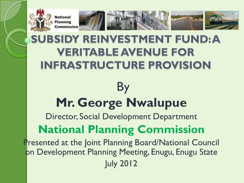

#### **SUBSIDY REINVESTMENT FUND: A VERITABLE AVENUE FOR INFRASTRUCTURE PROVISION**

#### By **Mr. George Nwalupue**

Director, Social Development Department

#### **National Planning Commission**

Presented at the Joint Planning Board/National Council on Development Planning Meeting, Enugu, Enugu State July 2012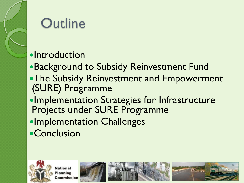

#### **Outline**

#### **•Introduction**

- Background to Subsidy Reinvestment Fund **• The Subsidy Reinvestment and Empowerment**
- (SURE) Programme
- Implementation Strategies for Infrastructure Projects under SURE Programme
- **•Implementation Challenges**
- **•Conclusion**









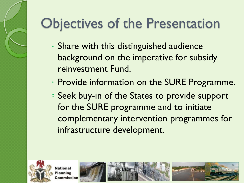# Objectives of the Presentation

- Share with this distinguished audience background on the imperative for subsidy reinvestment Fund.
- Provide information on the SURE Programme.
- Seek buy-in of the States to provide support for the SURE programme and to initiate complementary intervention programmes for infrastructure development.





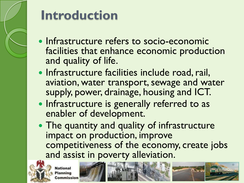

#### **Introduction**

- Infrastructure refers to socio-economic facilities that enhance economic production and quality of life.
- Infrastructure facilities include road, rail, aviation, water transport, sewage and water supply, power, drainage, housing and ICT.
- Infrastructure is generally referred to as enabler of development.
- The quantity and quality of infrastructure impact on production, improve competitiveness of the economy, create jobs and assist in poverty alleviation.



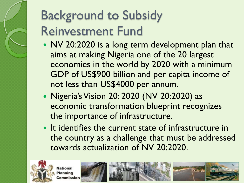#### Background to Subsidy Reinvestment Fund

- NV 20:2020 is a long term development plan that aims at making Nigeria one of the 20 largest economies in the world by 2020 with a minimum GDP of US\$900 billion and per capita income of not less than US\$4000 per annum.
- Nigeria's Vision 20: 2020 (NV 20:2020) as economic transformation blueprint recognizes the importance of infrastructure.
- It identifies the current state of infrastructure in the country as a challenge that must be addressed towards actualization of NV 20:2020.



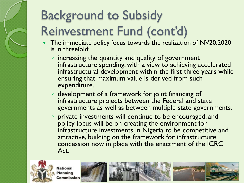- The immediate policy focus towards the realization of NV20:2020 is in threefold:
	- increasing the quantity and quality of government infrastructure spending, with a view to achieving accelerated infrastructural development within the first three years while ensuring that maximum value is derived from such expenditure.
	- development of a framework for joint financing of infrastructure projects between the Federal and state governments as well as between multiple state governments.
	- private investments will continue to be encouraged, and policy focus will be on creating the environment for infrastructure investments in Nigeria to be competitive and attractive, building on the framework for infrastructure concession now in place with the enactment of the ICRC Act.



ational lanning nmission

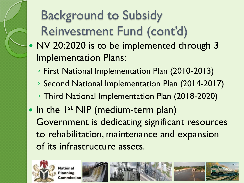- NV 20:2020 is to be implemented through 3 Implementation Plans:
	- First National Implementation Plan (2010-2013)
	- Second National Implementation Plan (2014-2017)
	- Third National Implementation Plan (2018-2020)
- In the 1<sup>st</sup> NIP (medium-term plan) Government is dedicating significant resources to rehabilitation, maintenance and expansion of its infrastructure assets.



ational

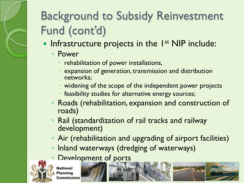- Infrastructure projects in the 1<sup>st</sup> NIP include:
	- Power
		- rehabilitation of power installations,
		- expansion of generation, transmission and distribution networks;
		- widening of the scope of the independent power projects
		- feasibility studies for alternative energy sources;
	- Roads (rehabilitation, expansion and construction of roads)
	- Rail (standardization of rail tracks and railway development)
	- Air (rehabilitation and upgrading of airport facilities)
	- Inland waterways (dredging of waterways)
	- Development of ports



**National** nmission

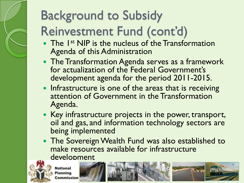- The 1<sup>st</sup> NIP is the nucleus of the Transformation Agenda of this Administration
- The Transformation Agenda serves as a framework for actualization of the Federal Government's development agenda for the period 2011-2015.
- Infrastructure is one of the areas that is receiving attention of Government in the Transformation Agenda.
- Key infrastructure projects in the power, transport, oil and gas, and information technology sectors are being implemented
- The Sovereign Wealth Fund was also established to make resources available for infrastructure development



**Jational** 



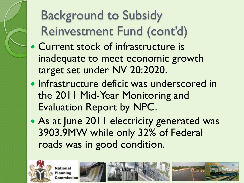- Current stock of infrastructure is inadequate to meet economic growth target set under NV 20:2020.
- Infrastructure deficit was underscored in the 2011 Mid-Year Monitoring and Evaluation Report by NPC.
- As at June 2011 electricity generated was 3903.9MW while only 32% of Federal roads was in good condition.





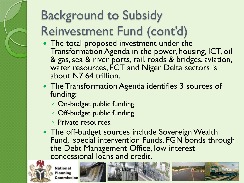- The total proposed investment under the Transformation Agenda in the power, housing, ICT, oil & gas, sea & river ports, rail, roads & bridges, aviation, water resources, FCT and Niger Delta sectors is about N7.64 trillion.
- The Transformation Agenda identifies 3 sources of funding:
	- On-budget public funding
	- Off-budget public funding
	- Private resources.
- The off-budget sources include Sovereign Wealth Fund, special intervention Funds, FGN bonds through the Debt Management Office, low interest concessional loans and credit.



**National** 

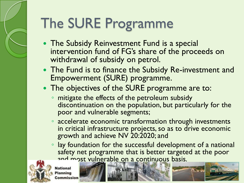# The SURE Programme

- The Subsidy Reinvestment Fund is a special intervention fund of FG's share of the proceeds on withdrawal of subsidy on petrol.
- The Fund is to finance the Subsidy Re-investment and Empowerment (SURE) programme.
- The objectives of the SURE programme are to:
	- mitigate the effects of the petroleum subsidy discontinuation on the population, but particularly for the poor and vulnerable segments;
	- accelerate economic transformation through investments in critical infrastructure projects, so as to drive economic growth and achieve NV 20:2020; and
	- lay foundation for the successful development of a national safety net programme that is better targeted at the poor and most vulnerable on a continuous basis.



ational





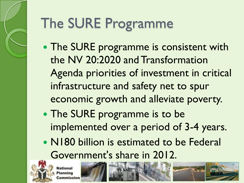# The SURE Programme

- The SURE programme is consistent with the NV 20:2020 and Transformation Agenda priorities of investment in critical infrastructure and safety net to spur economic growth and alleviate poverty.
- The SURE programme is to be implemented over a period of 3-4 years.
- N180 billion is estimated to be Federal Government's share in 2012.



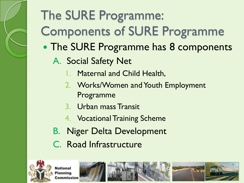# The SURE Programme: Components of SURE Programme

- The SURE Programme has 8 components
	- A. Social Safety Net
		- 1. Maternal and Child Health,
		- 2. Works/Women and Youth Employment Programme
		- 3. Urban mass Transit
		- 4. Vocational Training Scheme
	- B. Niger Delta Development
	- C. Road Infrastructure



ational



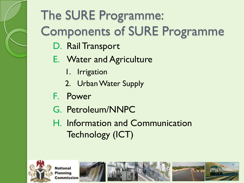# The SURE Programme: Components of SURE Programme

- D. Rail Transport
- E. Water and Agriculture
	- 1. Irrigation
	- 2. Urban Water Supply
- F. Power
- G. Petroleum/NNPC
- H. Information and Communication Technology (ICT)



ational anning nmission





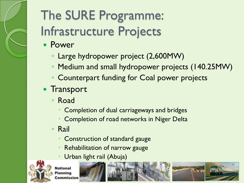#### The SURE Programme: Infrastructure Projects

- Power
	- Large hydropower project (2,600MW)
	- Medium and small hydropower projects (140.25MW)
	- Counterpart funding for Coal power projects
- Transport
	- Road
		- Completion of dual carriageways and bridges
		- Completion of road networks in Niger Delta
	- Rail
		- Construction of standard gauge
		- Rehabilitation of narrow gauge
		- Urban light rail (Abuja)



ational



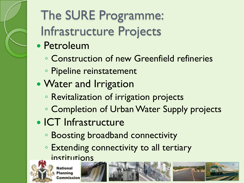The SURE Programme: Infrastructure Projects

- Petroleum
	- Construction of new Greenfield refineries
	- Pipeline reinstatement
- Water and Irrigation
	- Revitalization of irrigation projects
	- Completion of Urban Water Supply projects
- ICT Infrastructure
	- Boosting broadband connectivity
	- Extending connectivity to all tertiary institutions

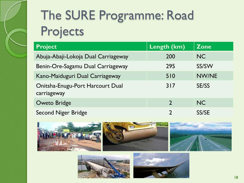#### The SURE Programme: Road Projects

| <b>Project</b>                                  | Length (km)    | <b>Zone</b>  |
|-------------------------------------------------|----------------|--------------|
| Abuja-Abaji-Lokoja Dual Carriageway             | 200            | NC           |
| Benin-Ore-Sagamu Dual Carriageway               | 295            | SS/SW        |
| Kano-Maiduguri Dual Carriageway                 | 510            | NW/NE        |
| Onitsha-Enugu-Port Harcourt Dual<br>carriageway | 317            | <b>SE/SS</b> |
| <b>Oweto Bridge</b>                             | $\overline{2}$ | NC           |
| <b>Second Niger Bridge</b>                      |                | SS/SE        |





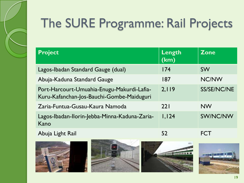

#### The SURE Programme: Rail Projects

| <b>Project</b>                                                                          | Length<br>(km) | <b>Zone</b> |
|-----------------------------------------------------------------------------------------|----------------|-------------|
| Lagos-Ibadan Standard Gauge (dual)                                                      | 174            | <b>SW</b>   |
| Abuja-Kaduna Standard Gauge                                                             | 187            | NC/NW       |
| Port-Harcourt-Umuahia-Enugu-Makurdi-Lafia-<br>Kuru-Kafanchan-Jos-Bauchi-Gombe-Maiduguri | 2,119          | SS/SE/NC/NE |
| Zaria-Funtua-Gusau-Kaura Namoda                                                         | 221            | <b>NW</b>   |
| Lagos-Ibadan-Ilorin-Jebba-Minna-Kaduna-Zaria-<br>Kano                                   | 1,124          | SW/NC/NW    |
|                                                                                         |                |             |

Abuja Light Rail **52** FCT









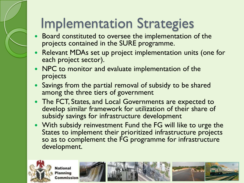### Implementation Strategies

- Board constituted to oversee the implementation of the projects contained in the SURE programme.
- Relevant MDAs set up project implementation units (one for each project sector).
- NPC to monitor and evaluate implementation of the projects
- Savings from the partial removal of subsidy to be shared among the three tiers of government
- The FCT, States, and Local Governments are expected to develop similar framework for utilization of their share of subsidy savings for infrastructure development
- With subsidy reinvestment Fund the FG will like to urge the States to implement their prioritized infrastructure projects so as to complement the FG programme for infrastructure development.



ational



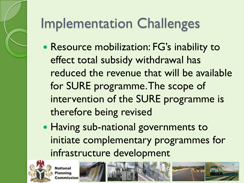# Implementation Challenges

- Resource mobilization: FG's inability to effect total subsidy withdrawal has reduced the revenue that will be available for SURE programme. The scope of intervention of the SURE programme is therefore being revised
- Having sub-national governments to initiate complementary programmes for infrastructure development



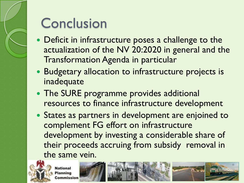#### **Conclusion**

- Deficit in infrastructure poses a challenge to the actualization of the NV 20:2020 in general and the Transformation Agenda in particular
- Budgetary allocation to infrastructure projects is inadequate
- The SURE programme provides additional resources to finance infrastructure development
- States as partners in development are enjoined to complement FG effort on infrastructure development by investing a considerable share of their proceeds accruing from subsidy removal in the same vein.



ational

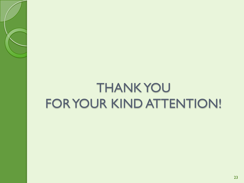#### THANK YOU FOR YOUR KIND ATTENTION!